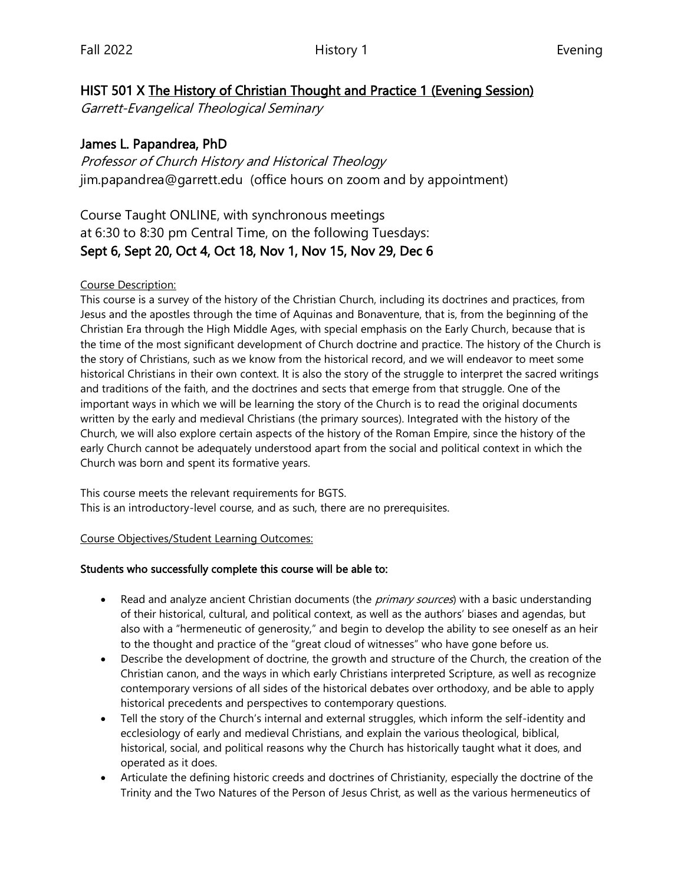### HIST 501 X The History of Christian Thought and Practice 1 (Evening Session)

Garrett-Evangelical Theological Seminary

### James L. Papandrea, PhD

Professor of Church History and Historical Theology jim.papandrea@garrett.edu (office hours on zoom and by appointment)

## Course Taught ONLINE, with synchronous meetings at 6:30 to 8:30 pm Central Time, on the following Tuesdays: Sept 6, Sept 20, Oct 4, Oct 18, Nov 1, Nov 15, Nov 29, Dec 6

#### Course Description:

This course is a survey of the history of the Christian Church, including its doctrines and practices, from Jesus and the apostles through the time of Aquinas and Bonaventure, that is, from the beginning of the Christian Era through the High Middle Ages, with special emphasis on the Early Church, because that is the time of the most significant development of Church doctrine and practice. The history of the Church is the story of Christians, such as we know from the historical record, and we will endeavor to meet some historical Christians in their own context. It is also the story of the struggle to interpret the sacred writings and traditions of the faith, and the doctrines and sects that emerge from that struggle. One of the important ways in which we will be learning the story of the Church is to read the original documents written by the early and medieval Christians (the primary sources). Integrated with the history of the Church, we will also explore certain aspects of the history of the Roman Empire, since the history of the early Church cannot be adequately understood apart from the social and political context in which the Church was born and spent its formative years.

This course meets the relevant requirements for BGTS. This is an introductory-level course, and as such, there are no prerequisites.

#### Course Objectives/Student Learning Outcomes:

#### Students who successfully complete this course will be able to:

- Read and analyze ancient Christian documents (the *primary sources*) with a basic understanding of their historical, cultural, and political context, as well as the authors' biases and agendas, but also with a "hermeneutic of generosity," and begin to develop the ability to see oneself as an heir to the thought and practice of the "great cloud of witnesses" who have gone before us.
- Describe the development of doctrine, the growth and structure of the Church, the creation of the Christian canon, and the ways in which early Christians interpreted Scripture, as well as recognize contemporary versions of all sides of the historical debates over orthodoxy, and be able to apply historical precedents and perspectives to contemporary questions.
- Tell the story of the Church's internal and external struggles, which inform the self-identity and ecclesiology of early and medieval Christians, and explain the various theological, biblical, historical, social, and political reasons why the Church has historically taught what it does, and operated as it does.
- Articulate the defining historic creeds and doctrines of Christianity, especially the doctrine of the Trinity and the Two Natures of the Person of Jesus Christ, as well as the various hermeneutics of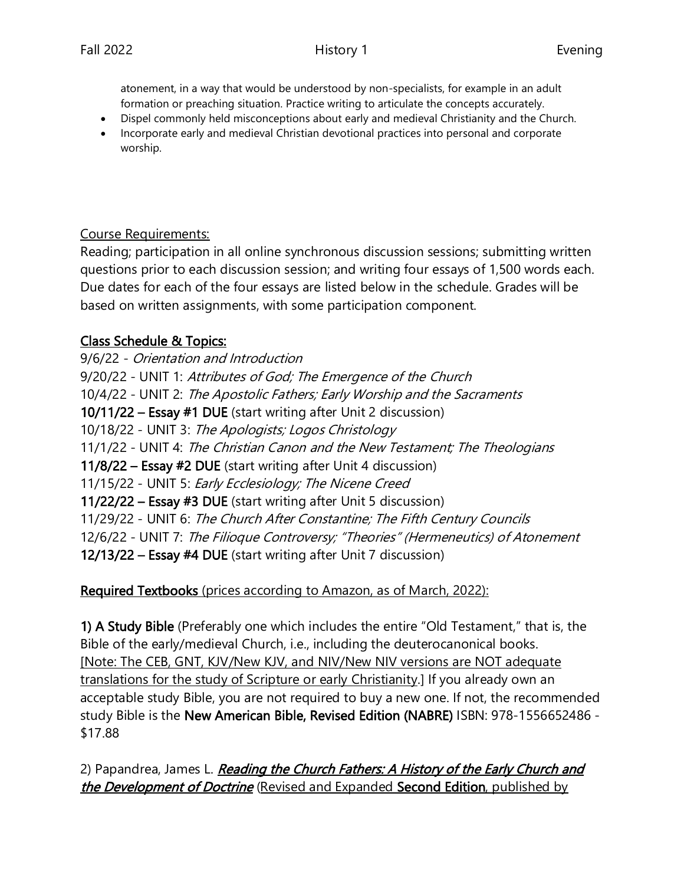atonement, in a way that would be understood by non-specialists, for example in an adult formation or preaching situation. Practice writing to articulate the concepts accurately.

- Dispel commonly held misconceptions about early and medieval Christianity and the Church.
- Incorporate early and medieval Christian devotional practices into personal and corporate worship.

### Course Requirements:

Reading; participation in all online synchronous discussion sessions; submitting written questions prior to each discussion session; and writing four essays of 1,500 words each. Due dates for each of the four essays are listed below in the schedule. Grades will be based on written assignments, with some participation component.

## Class Schedule & Topics:

9/6/22 - Orientation and Introduction 9/20/22 - UNIT 1: Attributes of God; The Emergence of the Church 10/4/22 - UNIT 2: The Apostolic Fathers; Early Worship and the Sacraments 10/11/22 – Essay #1 DUE (start writing after Unit 2 discussion) 10/18/22 - UNIT 3: The Apologists; Logos Christology 11/1/22 - UNIT 4: The Christian Canon and the New Testament; The Theologians 11/8/22 – Essay #2 DUE (start writing after Unit 4 discussion) 11/15/22 - UNIT 5: Early Ecclesiology; The Nicene Creed 11/22/22 – Essay #3 DUE (start writing after Unit 5 discussion) 11/29/22 - UNIT 6: The Church After Constantine; The Fifth Century Councils 12/6/22 - UNIT 7: The Filioque Controversy; "Theories" (Hermeneutics) of Atonement 12/13/22 – Essay #4 DUE (start writing after Unit 7 discussion)

## Required Textbooks (prices according to Amazon, as of March, 2022):

1) A Study Bible (Preferably one which includes the entire "Old Testament," that is, the Bible of the early/medieval Church, i.e., including the deuterocanonical books. [Note: The CEB, GNT, KJV/New KJV, and NIV/New NIV versions are NOT adequate translations for the study of Scripture or early Christianity.] If you already own an acceptable study Bible, you are not required to buy a new one. If not, the recommended study Bible is the New American Bible, Revised Edition (NABRE) ISBN: 978-1556652486 - \$17.88

2) Papandrea, James L. Reading the Church Fathers: A History of the Early Church and the Development of Doctrine (Revised and Expanded Second Edition, published by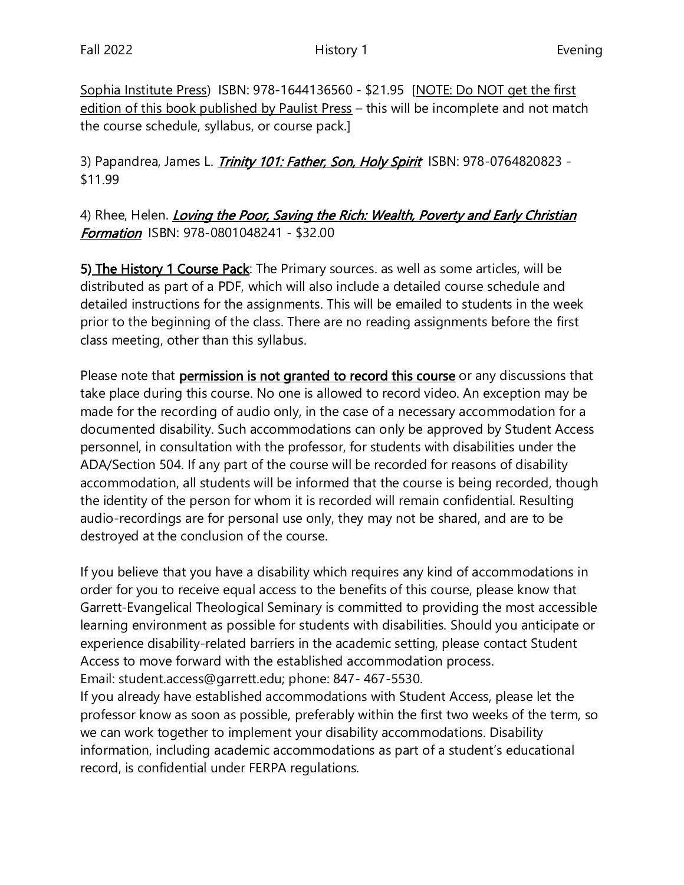Sophia Institute Press) ISBN: 978-1644136560 - \$21.95 [NOTE: Do NOT get the first edition of this book published by Paulist Press – this will be incomplete and not match the course schedule, syllabus, or course pack.]

3) Papandrea, James L. *Trinity 101: Father, Son, Holy Spirit* ISBN: 978-0764820823 -\$11.99

# 4) Rhee, Helen. *Loving the Poor, Saving the Rich: Wealth, Poverty and Early Christian* **Formation** ISBN: 978-0801048241 - \$32.00

5) The History 1 Course Pack: The Primary sources. as well as some articles, will be distributed as part of a PDF, which will also include a detailed course schedule and detailed instructions for the assignments. This will be emailed to students in the week prior to the beginning of the class. There are no reading assignments before the first class meeting, other than this syllabus.

Please note that permission is not granted to record this course or any discussions that take place during this course. No one is allowed to record video. An exception may be made for the recording of audio only, in the case of a necessary accommodation for a documented disability. Such accommodations can only be approved by Student Access personnel, in consultation with the professor, for students with disabilities under the ADA/Section 504. If any part of the course will be recorded for reasons of disability accommodation, all students will be informed that the course is being recorded, though the identity of the person for whom it is recorded will remain confidential. Resulting audio-recordings are for personal use only, they may not be shared, and are to be destroyed at the conclusion of the course.

If you believe that you have a disability which requires any kind of accommodations in order for you to receive equal access to the benefits of this course, please know that Garrett-Evangelical Theological Seminary is committed to providing the most accessible learning environment as possible for students with disabilities. Should you anticipate or experience disability-related barriers in the academic setting, please contact Student Access to move forward with the established accommodation process. Email: student.access@garrett.edu; phone: 847- 467-5530.

If you already have established accommodations with Student Access, please let the professor know as soon as possible, preferably within the first two weeks of the term, so we can work together to implement your disability accommodations. Disability information, including academic accommodations as part of a student's educational record, is confidential under FERPA regulations.